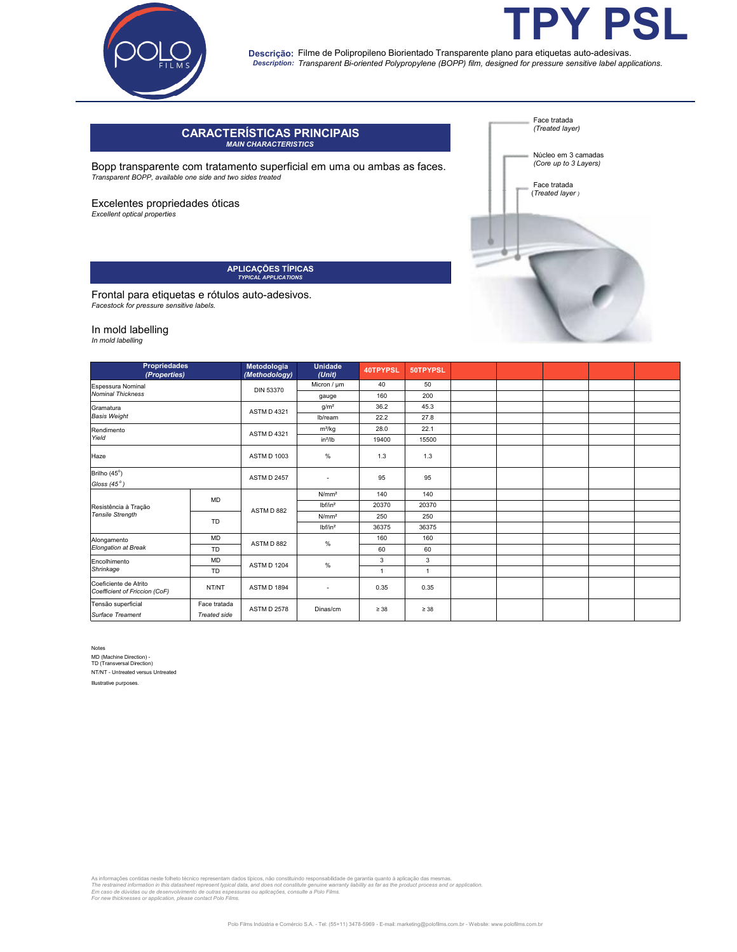

## Descrição: Filme de Polipropileno Biorientado Transparente plano para etiquetas auto-adesivas. *Transparent Bi-oriented Polypropylene (BOPP) film, designed for pressure sensitive label applications. Description:*

# **CARACTERÍSTICAS PRINCIPAIS** *MAIN CHARACTERISTICS*

Bopp transparente com tratamento superficial em uma ou ambas as faces. *Transparent BOPP, available one side and two sides treated*

Excelentes propriedades óticas

*Excellent optical properties* 

**APLICAÇÕES TÍPICAS** *TYPICAL APPLICATIONS*

Frontal para etiquetas e rótulos auto-adesivos. *Facestock for pressure sensitive labels.*

### In mold labelling

*In mold labelling*

| <b>Propriedades</b><br>(Properties)                    |                     | Metodologia<br>(Methodology) | <b>Unidade</b><br>(Unit) | 40TPYPSL       | 50TPYPSL  |  |  |  |
|--------------------------------------------------------|---------------------|------------------------------|--------------------------|----------------|-----------|--|--|--|
| Espessura Nominal                                      |                     | <b>DIN 53370</b>             | Micron / µm              | 40             | 50        |  |  |  |
| <b>Nominal Thickness</b>                               |                     |                              | gauge                    | 160            | 200       |  |  |  |
| Gramatura<br><b>Basis Weight</b>                       |                     | <b>ASTM D 4321</b>           | q/m <sup>2</sup>         | 36.2           | 45.3      |  |  |  |
|                                                        |                     |                              | lb/ream                  | 22.2           | 27.8      |  |  |  |
| Rendimento<br>Yield                                    |                     | <b>ASTM D 4321</b>           | $m^2/kg$                 | 28.0           | 22.1      |  |  |  |
|                                                        |                     |                              | $in^2$ /lb               | 19400          | 15500     |  |  |  |
| Haze                                                   |                     | <b>ASTM D 1003</b>           | $\%$                     | 1.3            | 1.3       |  |  |  |
| Brilho (45°)                                           |                     | <b>ASTM D 2457</b>           | $\overline{\phantom{a}}$ | 95             | 95        |  |  |  |
| Gloss $(45°)$                                          |                     |                              |                          |                |           |  |  |  |
| Resistência à Tração<br><b>Tensile Strength</b>        | MD                  | ASTM D 882                   | N/mm <sup>2</sup>        | 140            | 140       |  |  |  |
|                                                        |                     |                              | lbf/in <sup>2</sup>      | 20370          | 20370     |  |  |  |
|                                                        | <b>TD</b>           |                              | N/mm <sup>2</sup>        | 250            | 250       |  |  |  |
|                                                        |                     |                              | Ibf/in <sup>2</sup>      | 36375          | 36375     |  |  |  |
| Alongamento<br>Elongation at Break                     | MD                  | ASTM D 882                   | %                        | 160            | 160       |  |  |  |
|                                                        | TD                  |                              |                          | 60             | 60        |  |  |  |
| Encolhimento                                           | MD                  | <b>ASTM D 1204</b>           | %                        | 3              | 3         |  |  |  |
| Shrinkage                                              | <b>TD</b>           |                              |                          | $\overline{1}$ | 1         |  |  |  |
| Coeficiente de Atrito<br>Coefficient of Friccion (CoF) | NT/NT               | <b>ASTM D 1894</b>           | $\overline{\phantom{a}}$ | 0.35           | 0.35      |  |  |  |
| Tensão superficial                                     | Face tratada        | <b>ASTM D 2578</b>           | Dinas/cm                 | $\geq 38$      | $\geq 38$ |  |  |  |
| Surface Treament                                       | <b>Treated side</b> |                              |                          |                |           |  |  |  |

Notes MD (Machine Direction) - TD (Transversal Direction) NT/NT - Untreated versus Untreated

Illustrative purposes.

As informações contidas neste folheto técnico representam dados tipicos, não constituindo responsabilidade de garantia quanto à aplicação das mesmas.<br>The restrained information in this datasheet represent typical data, and



**TPY PSL**